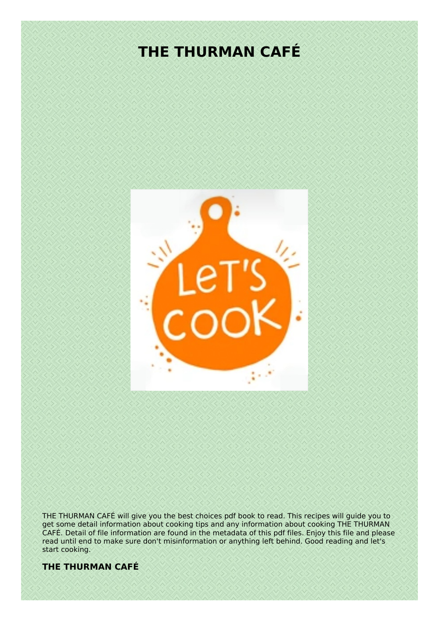# **THE THURMAN CAFÉ**



THE THURMAN CAFÉ will give you the best choices pdf book to read. This recipes will guide you to get some detail information about cooking tips and any information about cooking THE THURMAN CAFÉ. Detail of file information are found in the metadata of this pdf files. Enjoy this file and please read until end to make sure don't misinformation or anything left behind. Good reading and let's start cooking.

## **THE THURMAN CAFÉ**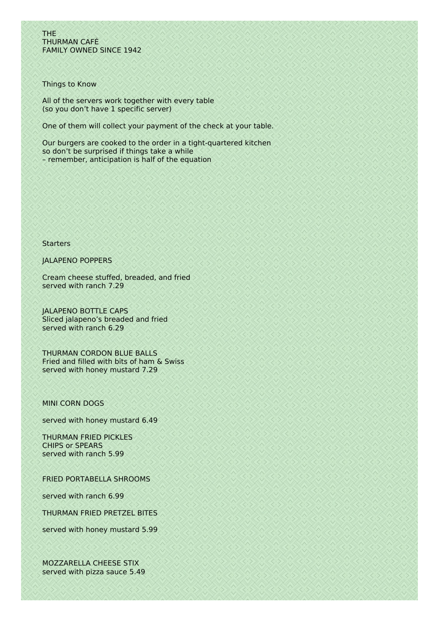THE THURMAN CAFÉ FAMILY OWNED SINCE 1942

Things to Know

All of the servers work together with every table (so you don't have 1 specific server)

One of them will collect your payment of the check at your table.

Our burgers are cooked to the order in a tight-quartered kitchen so don't be surprised if things take a while – remember, anticipation is half of the equation

**Starters** 

JALAPENO POPPERS

Cream cheese stuffed, breaded, and fried served with ranch 7.29

JALAPENO BOTTLE CAPS Sliced jalapeno's breaded and fried served with ranch 6.29

THURMAN CORDON BLUE BALLS Fried and filled with bits of ham & Swiss served with honey mustard 7.29

## MINI CORN DOGS

served with honey mustard 6.49

THURMAN FRIED PICKLES CHIPS or SPEARS served with ranch 5.99

FRIED PORTABELLA SHROOMS

served with ranch 6.99

THURMAN FRIED PRETZEL BITES

served with honey mustard 5.99

MOZZARELLA CHEESE STIX served with pizza sauce 5.49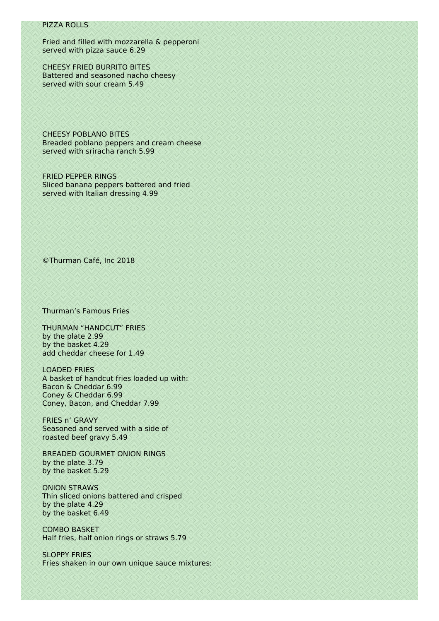## PIZZA ROLLS

Fried and filled with mozzarella & pepperoni served with pizza sauce 6.29

CHEESY FRIED BURRITO BITES Battered and seasoned nacho cheesy served with sour cream 5.49

CHEESY POBLANO BITES Breaded poblano peppers and cream cheese served with sriracha ranch 5.99

FRIED PEPPER RINGS Sliced banana peppers battered and fried served with Italian dressing 4.99

©Thurman Café, Inc 2018

Thurman's Famous Fries

THURMAN "HANDCUT" FRIES by the plate 2.99 by the basket 4.29 add cheddar cheese for 1.49

LOADED FRIES A basket of handcut fries loaded up with: Bacon & Cheddar 6.99 Coney & Cheddar 6.99 Coney, Bacon, and Cheddar 7.99

FRIES n' GRAVY Seasoned and served with a side of roasted beef gravy 5.49

BREADED GOURMET ONION RINGS by the plate 3.79 by the basket 5.29

ONION STRAWS Thin sliced onions battered and crisped by the plate 4.29 by the basket 6.49

COMBO BASKET Half fries, half onion rings or straws 5.79

SLOPPY FRIES Fries shaken in our own unique sauce mixtures: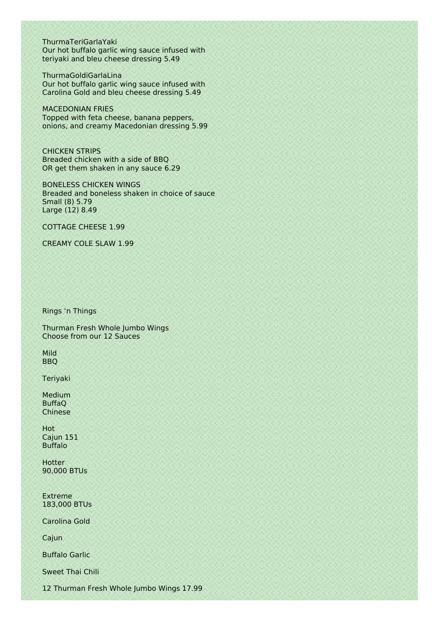ThurmaTeriGarlaYaki Our hot buffalo garlic wing sauce infused with teriyaki and bleu cheese dressing 5.49

ThurmaGoldiGarlaLina Our hot buffalo garlic wing sauce infused with Carolina Gold and bleu cheese dressing 5.49

MACEDONIAN FRIES Topped with feta cheese, banana peppers, onions, and creamy Macedonian dressing 5.99

CHICKEN STRIPS Breaded chicken with a side of BBQ OR get them shaken in any sauce 6.29

BONELESS CHICKEN WINGS Breaded and boneless shaken in choice of sauce Small (8) 5.79 Large (12) 8.49

COTTAGE CHEESE 1.99

CREAMY COLE SLAW 1.99

Rings 'n Things

Thurman Fresh Whole Jumbo Wings Choose from our 12 Sauces

Mild BBQ

Teriyaki

Medium BuffaQ Chinese

Hot Cajun 151 Buffalo

**Hotter** 90,000 BTUs

Extreme 183,000 BTUs

Carolina Gold

Cajun

Buffalo Garlic

Sweet Thai Chili

12 Thurman Fresh Whole Jumbo Wings 17.99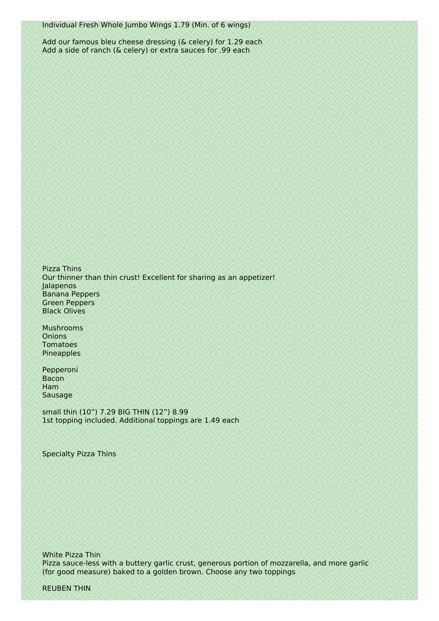Add our famous bleu cheese dressing (& celery) for 1.29 each Add a side of ranch (& celery) or extra sauces for .99 each

Pizza Thins Our thinner than thin crust! Excellent for sharing as an appetizer! Jalapenos Banana Peppers Green Peppers Black Olives

Mushrooms **Onions** Tomatoes Pineapples

Pepperoni Bacon Ham Sausage

small thin (10") 7.29 BIG THIN (12") 8.99 1st topping included. Additional toppings are 1.49 each

Specialty Pizza Thins

White Pizza Thin Pizza sauce-less with a buttery garlic crust, generous portion of mozzarella, and more garlic (for good measure) baked to a golden brown. Choose any two toppings

REUBEN THIN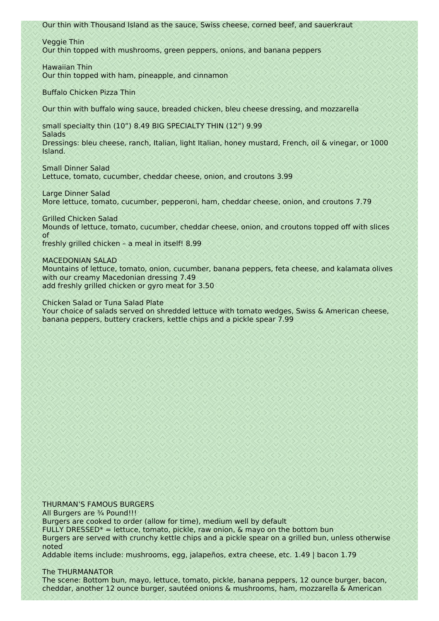Our thin with Thousand Island as the sauce, Swiss cheese, corned beef, and sauerkraut

Veggie Thin Our thin topped with mushrooms, green peppers, onions, and banana peppers

Hawaiian Thin Our thin topped with ham, pineapple, and cinnamon

Buffalo Chicken Pizza Thin

Our thin with buffalo wing sauce, breaded chicken, bleu cheese dressing, and mozzarella

small specialty thin (10") 8.49 BIG SPECIALTY THIN (12") 9.99

**Salads** Dressings: bleu cheese, ranch, Italian, light Italian, honey mustard, French, oil & vinegar, or 1000 Island.

Small Dinner Salad Lettuce, tomato, cucumber, cheddar cheese, onion, and croutons 3.99

Large Dinner Salad More lettuce, tomato, cucumber, pepperoni, ham, cheddar cheese, onion, and croutons 7.79

Grilled Chicken Salad Mounds of lettuce, tomato, cucumber, cheddar cheese, onion, and croutons topped off with slices of freshly grilled chicken – a meal in itself! 8.99

MACEDONIAN SALAD Mountains of lettuce, tomato, onion, cucumber, banana peppers, feta cheese, and kalamata olives with our creamy Macedonian dressing 7.49 add freshly grilled chicken or gyro meat for 3.50

Chicken Salad or Tuna Salad Plate

Your choice of salads served on shredded lettuce with tomato wedges, Swiss & American cheese, banana peppers, buttery crackers, kettle chips and a pickle spear 7.99

THURMAN'S FAMOUS BURGERS All Burgers are 3/4 Pound!!! Burgers are cooked to order (allow for time), medium well by default FULLY DRESSED<sup>\*</sup> = lettuce, tomato, pickle, raw onion,  $\&$  mayo on the bottom bun Burgers are served with crunchy kettle chips and a pickle spear on a grilled bun, unless otherwise noted Addable items include: mushrooms, egg, jalapeños, extra cheese, etc. 1.49 | bacon 1.79

The THURMANATOR

The scene: Bottom bun, mayo, lettuce, tomato, pickle, banana peppers, 12 ounce burger, bacon, cheddar, another 12 ounce burger, sautéed onions & mushrooms, ham, mozzarella & American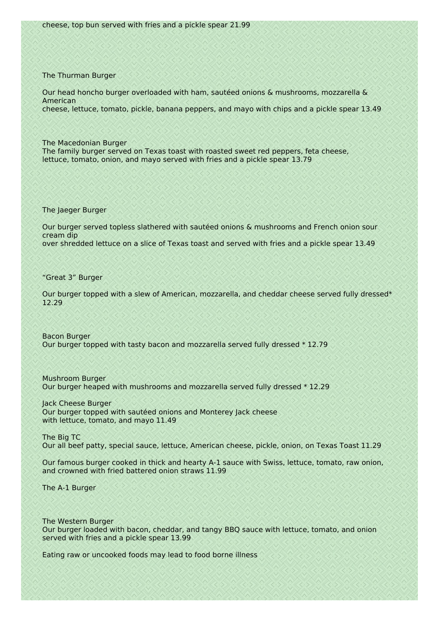#### The Thurman Burger

Our head honcho burger overloaded with ham, sautéed onions & mushrooms, mozzarella & American cheese, lettuce, tomato, pickle, banana peppers, and mayo with chips and a pickle spear 13.49

The Macedonian Burger The family burger served on Texas toast with roasted sweet red peppers, feta cheese, lettuce, tomato, onion, and mayo served with fries and a pickle spear 13.79

The Jaeger Burger

Our burger served topless slathered with sautéed onions & mushrooms and French onion sour cream dip over shredded lettuce on a slice of Texas toast and served with fries and a pickle spear 13.49

"Great 3" Burger

Our burger topped with a slew of American, mozzarella, and cheddar cheese served fully dressed\* 12.29

Bacon Burger Our burger topped with tasty bacon and mozzarella served fully dressed \* 12.79

Mushroom Burger Our burger heaped with mushrooms and mozzarella served fully dressed \* 12.29

Jack Cheese Burger Our burger topped with sautéed onions and Monterey Jack cheese with lettuce, tomato, and mayo 11.49

The Big TC Our all beef patty, special sauce, lettuce, American cheese, pickle, onion, on Texas Toast 11.29

Our famous burger cooked in thick and hearty A-1 sauce with Swiss, lettuce, tomato, raw onion, and crowned with fried battered onion straws 11.99

The A-1 Burger

The Western Burger Our burger loaded with bacon, cheddar, and tangy BBQ sauce with lettuce, tomato, and onion served with fries and a pickle spear 13.99

Eating raw or uncooked foods may lead to food borne illness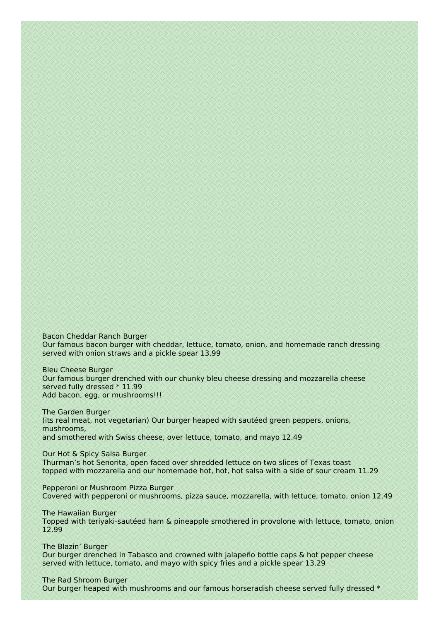Bacon Cheddar Ranch Burger Our famous bacon burger with cheddar, lettuce, tomato, onion, and homemade ranch dressing served with onion straws and a pickle spear 13.99

Bleu Cheese Burger Our famous burger drenched with our chunky bleu cheese dressing and mozzarella cheese served fully dressed \* 11.99 Add bacon, egg, or mushrooms!!!

The Garden Burger (its real meat, not vegetarian) Our burger heaped with sautéed green peppers, onions, mushrooms, and smothered with Swiss cheese, over lettuce, tomato, and mayo 12.49

Our Hot & Spicy Salsa Burger Thurman's hot Senorita, open faced over shredded lettuce on two slices of Texas toast topped with mozzarella and our homemade hot, hot, hot salsa with a side of sour cream 11.29

Pepperoni or Mushroom Pizza Burger Covered with pepperoni or mushrooms, pizza sauce, mozzarella, with lettuce, tomato, onion 12.49

The Hawaiian Burger Topped with teriyaki-sautéed ham & pineapple smothered in provolone with lettuce, tomato, onion 12.99

The Blazin' Burger Our burger drenched in Tabasco and crowned with jalapeño bottle caps & hot pepper cheese served with lettuce, tomato, and mayo with spicy fries and a pickle spear 13.29

The Rad Shroom Burger Our burger heaped with mushrooms and our famous horseradish cheese served fully dressed \*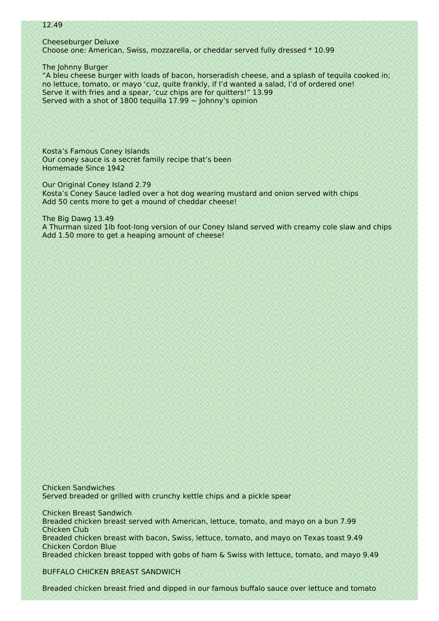### 12.49

Cheeseburger Deluxe Choose one: American, Swiss, mozzarella, or cheddar served fully dressed \* 10.99

The Johnny Burger

"A bleu cheese burger with loads of bacon, horseradish cheese, and a splash of tequila cooked in; no lettuce, tomato, or mayo 'cuz, quite frankly, if I'd wanted a salad, I'd of ordered one! Serve it with fries and a spear, 'cuz chips are for quitters!" 13.99 Served with a shot of 1800 tequilla  $17.99 \sim$  Johnny's opinion

Kosta's Famous Coney Islands Our coney sauce is a secret family recipe that's been Homemade Since 1942

Our Original Coney Island 2.79 Kosta's Coney Sauce ladled over a hot dog wearing mustard and onion served with chips Add 50 cents more to get a mound of cheddar cheese!

The Big Dawg 13.49 A Thurman sized 1lb foot-long version of our Coney Island served with creamy cole slaw and chips Add 1.50 more to get a heaping amount of cheese!

Chicken Sandwiches Served breaded or grilled with crunchy kettle chips and a pickle spear

Chicken Breast Sandwich Breaded chicken breast served with American, lettuce, tomato, and mayo on a bun 7.99 Chicken Club Breaded chicken breast with bacon, Swiss, lettuce, tomato, and mayo on Texas toast 9.49 Chicken Cordon Blue Breaded chicken breast topped with gobs of ham & Swiss with lettuce, tomato, and mayo 9.49

BUFFALO CHICKEN BREAST SANDWICH

Breaded chicken breast fried and dipped in our famous buffalo sauce over lettuce and tomato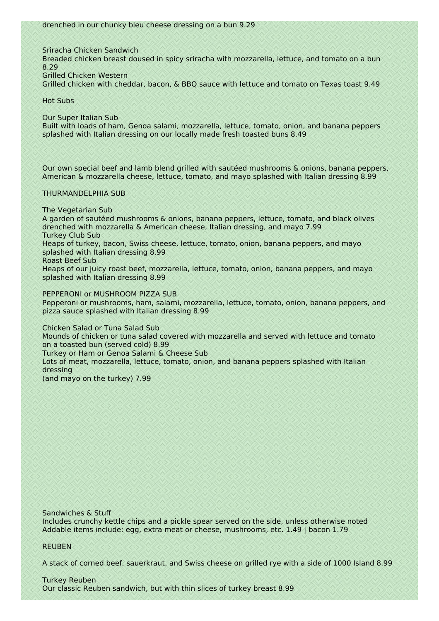Sriracha Chicken Sandwich

Breaded chicken breast doused in spicy sriracha with mozzarella, lettuce, and tomato on a bun 8.29

Grilled Chicken Western

Grilled chicken with cheddar, bacon, & BBQ sauce with lettuce and tomato on Texas toast 9.49

Hot Subs

Our Super Italian Sub

Built with loads of ham, Genoa salami, mozzarella, lettuce, tomato, onion, and banana peppers splashed with Italian dressing on our locally made fresh toasted buns 8.49

Our own special beef and lamb blend grilled with sautéed mushrooms & onions, banana peppers, American & mozzarella cheese, lettuce, tomato, and mayo splashed with Italian dressing 8.99

## THURMANDELPHIA SUB

The Vegetarian Sub

A garden of sautéed mushrooms & onions, banana peppers, lettuce, tomato, and black olives drenched with mozzarella & American cheese, Italian dressing, and mayo 7.99 Turkey Club Sub

Heaps of turkey, bacon, Swiss cheese, lettuce, tomato, onion, banana peppers, and mayo splashed with Italian dressing 8.99

Roast Beef Sub

Heaps of our juicy roast beef, mozzarella, lettuce, tomato, onion, banana peppers, and mayo splashed with Italian dressing 8.99

PEPPERONI or MUSHROOM PIZZA SUB

Pepperoni or mushrooms, ham, salami, mozzarella, lettuce, tomato, onion, banana peppers, and pizza sauce splashed with Italian dressing 8.99

Chicken Salad or Tuna Salad Sub

Mounds of chicken or tuna salad covered with mozzarella and served with lettuce and tomato on a toasted bun (served cold) 8.99

Turkey or Ham or Genoa Salami & Cheese Sub

Lots of meat, mozzarella, lettuce, tomato, onion, and banana peppers splashed with Italian dressing

(and mayo on the turkey) 7.99

Sandwiches & Stuff

Includes crunchy kettle chips and a pickle spear served on the side, unless otherwise noted Addable items include: egg, extra meat or cheese, mushrooms, etc. 1.49 | bacon 1.79

## REUBEN

A stack of corned beef, sauerkraut, and Swiss cheese on grilled rye with a side of 1000 Island 8.99

Turkey Reuben Our classic Reuben sandwich, but with thin slices of turkey breast 8.99